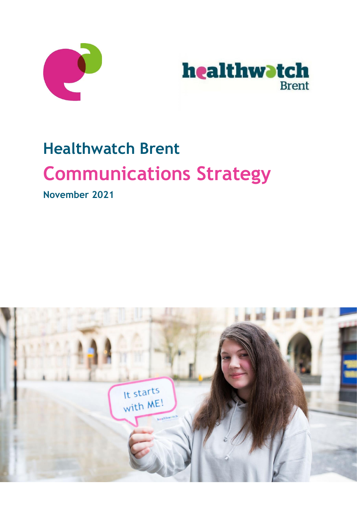



# **Healthwatch Brent Communications Strategy**

**November 2021**

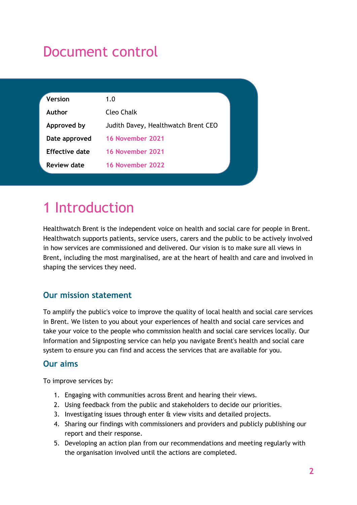### Document control

| 1.0                                 |  |
|-------------------------------------|--|
| <b>Cleo Chalk</b>                   |  |
| Judith Davey, Healthwatch Brent CEO |  |
| 16 November 2021                    |  |
| 16 November 2021                    |  |
| 16 November 2022                    |  |
|                                     |  |

# 1 Introduction

Healthwatch Brent is the independent voice on health and social care for people in Brent. Healthwatch supports patients, service users, carers and the public to be actively involved in how services are commissioned and delivered. Our vision is to make sure all views in Brent, including the most marginalised, are at the heart of health and care and involved in shaping the services they need.

### **Our mission statement**

To amplify the public's voice to improve the quality of local health and social care services in Brent. We listen to you about your experiences of health and social care services and take your voice to the people who commission health and social care services locally. Our Information and Signposting service can help you navigate Brent's health and social care system to ensure you can find and access the services that are available for you.

### **Our aims**

To improve services by:

- 1. Engaging with communities across Brent and hearing their views.
- 2. Using feedback from the public and stakeholders to decide our priorities.
- 3. Investigating issues through enter & view visits and detailed projects.
- 4. Sharing our findings with commissioners and providers and publicly publishing our report and their response.
- 5. Developing an action plan from our recommendations and meeting regularly with the organisation involved until the actions are completed.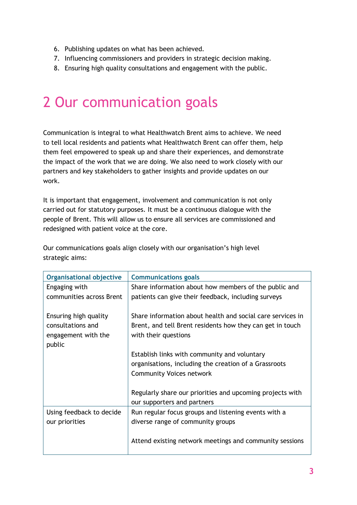- 6. Publishing updates on what has been achieved.
- 7. Influencing commissioners and providers in strategic decision making.
- 8. Ensuring high quality consultations and engagement with the public.

### 2 Our communication goals

Communication is integral to what Healthwatch Brent aims to achieve. We need to tell local residents and patients what Healthwatch Brent can offer them, help them feel empowered to speak up and share their experiences, and demonstrate the impact of the work that we are doing. We also need to work closely with our partners and key stakeholders to gather insights and provide updates on our work.

It is important that engagement, involvement and communication is not only carried out for statutory purposes. It must be a continuous dialogue with the people of Brent. This will allow us to ensure all services are commissioned and redesigned with patient voice at the core.

Our communications goals align closely with our organisation's high level strategic aims:

| <b>Organisational objective</b>                                             | <b>Communications goals</b>                                                                                                                     |
|-----------------------------------------------------------------------------|-------------------------------------------------------------------------------------------------------------------------------------------------|
| Engaging with                                                               | Share information about how members of the public and                                                                                           |
| communities across Brent                                                    | patients can give their feedback, including surveys                                                                                             |
| Ensuring high quality<br>consultations and<br>engagement with the<br>public | Share information about health and social care services in<br>Brent, and tell Brent residents how they can get in touch<br>with their questions |
|                                                                             | Establish links with community and voluntary<br>organisations, including the creation of a Grassroots<br><b>Community Voices network</b>        |
|                                                                             | Regularly share our priorities and upcoming projects with<br>our supporters and partners                                                        |
| Using feedback to decide<br>our priorities                                  | Run regular focus groups and listening events with a<br>diverse range of community groups                                                       |
|                                                                             | Attend existing network meetings and community sessions                                                                                         |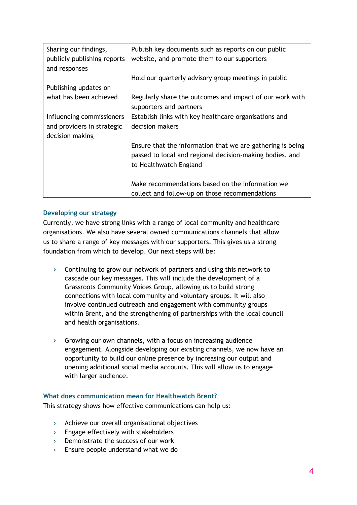| Sharing our findings,       | Publish key documents such as reports on our public        |
|-----------------------------|------------------------------------------------------------|
| publicly publishing reports | website, and promote them to our supporters                |
| and responses               |                                                            |
|                             | Hold our quarterly advisory group meetings in public       |
| Publishing updates on       |                                                            |
| what has been achieved      | Regularly share the outcomes and impact of our work with   |
|                             | supporters and partners                                    |
| Influencing commissioners   | Establish links with key healthcare organisations and      |
| and providers in strategic  | decision makers                                            |
| decision making             |                                                            |
|                             | Ensure that the information that we are gathering is being |
|                             | passed to local and regional decision-making bodies, and   |
|                             | to Healthwatch England                                     |
|                             |                                                            |
|                             | Make recommendations based on the information we           |
|                             | collect and follow-up on those recommendations             |

### **Developing our strategy**

Currently, we have strong links with a range of local community and healthcare organisations. We also have several owned communications channels that allow us to share a range of key messages with our supporters. This gives us a strong foundation from which to develop. Our next steps will be:

- Continuing to grow our network of partners and using this network to cascade our key messages. This will include the development of a Grassroots Community Voices Group, allowing us to build strong connections with local community and voluntary groups. It will also involve continued outreach and engagement with community groups within Brent, and the strengthening of partnerships with the local council and health organisations.
- $\triangleright$  Growing our own channels, with a focus on increasing audience engagement. Alongside developing our existing channels, we now have an opportunity to build our online presence by increasing our output and opening additional social media accounts. This will allow us to engage with larger audience.

#### **What does communication mean for Healthwatch Brent?**

This strategy shows how effective communications can help us:

- $\triangleright$  Achieve our overall organisational objectives
- $\triangleright$  Engage effectively with stakeholders
- $\triangleright$  Demonstrate the success of our work
- **Ensure people understand what we do**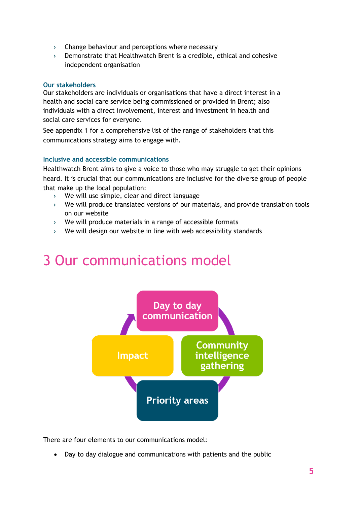- $\triangleright$  Change behaviour and perceptions where necessary
- Demonstrate that Healthwatch Brent is a credible, ethical and cohesive independent organisation

#### **Our stakeholders**

Our stakeholders are individuals or organisations that have a direct interest in a health and social care service being commissioned or provided in Brent; also individuals with a direct involvement, interest and investment in health and social care services for everyone.

See appendix 1 for a comprehensive list of the range of stakeholders that this communications strategy aims to engage with.

### **Inclusive and accessible communications**

Healthwatch Brent aims to give a voice to those who may struggle to get their opinions heard. It is crucial that our communications are inclusive for the diverse group of people that make up the local population:

- We will use simple, clear and direct language
- We will produce translated versions of our materials, and provide translation tools on our website
- We will produce materials in a range of accessible formats
- We will design our website in line with web accessibility standards

### 3 Our communications model



There are four elements to our communications model:

• Day to day dialogue and communications with patients and the public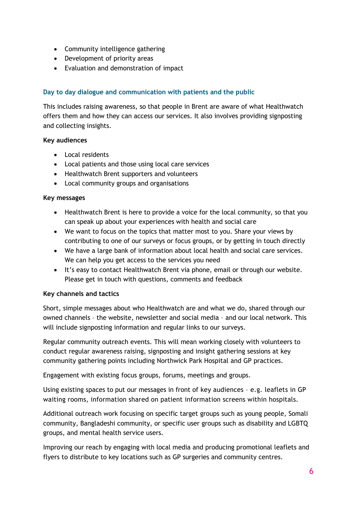- Community intelligence gathering
- Development of priority areas
- Evaluation and demonstration of impact

### **Day to day dialogue and communication with patients and the public**

This includes raising awareness, so that people in Brent are aware of what Healthwatch offers them and how they can access our services. It also involves providing signposting and collecting insights.

### **Key audiences**

- Local residents
- Local patients and those using local care services
- Healthwatch Brent supporters and volunteers
- Local community groups and organisations

### **Key messages**

- Healthwatch Brent is here to provide a voice for the local community, so that you can speak up about your experiences with health and social care
- We want to focus on the topics that matter most to you. Share your views by contributing to one of our surveys or focus groups, or by getting in touch directly
- We have a large bank of information about local health and social care services. We can help you get access to the services you need
- It's easy to contact Healthwatch Brent via phone, email or through our website. Please get in touch with questions, comments and feedback

### **Key channels and tactics**

Short, simple messages about who Healthwatch are and what we do, shared through our owned channels – the website, newsletter and social media – and our local network. This will include signposting information and regular links to our surveys.

Regular community outreach events. This will mean working closely with volunteers to conduct regular awareness raising, signposting and insight gathering sessions at key community gathering points including Northwick Park Hospital and GP practices.

Engagement with existing focus groups, forums, meetings and groups.

Using existing spaces to put our messages in front of key audiences – e.g. leaflets in GP waiting rooms, information shared on patient information screens within hospitals.

Additional outreach work focusing on specific target groups such as young people, Somali community, Bangladeshi community, or specific user groups such as disability and LGBTQ groups, and mental health service users.

Improving our reach by engaging with local media and producing promotional leaflets and flyers to distribute to key locations such as GP surgeries and community centres.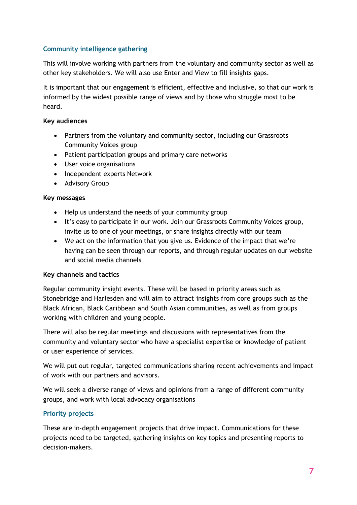### **Community intelligence gathering**

This will involve working with partners from the voluntary and community sector as well as other key stakeholders. We will also use Enter and View to fill insights gaps.

It is important that our engagement is efficient, effective and inclusive, so that our work is informed by the widest possible range of views and by those who struggle most to be heard.

### **Key audiences**

- Partners from the voluntary and community sector, including our Grassroots Community Voices group
- Patient participation groups and primary care networks
- User voice organisations
- Independent experts Network
- Advisory Group

### **Key messages**

- Help us understand the needs of your community group
- It's easy to participate in our work. Join our Grassroots Community Voices group, invite us to one of your meetings, or share insights directly with our team
- We act on the information that you give us. Evidence of the impact that we're having can be seen through our reports, and through regular updates on our website and social media channels

#### **Key channels and tactics**

Regular community insight events. These will be based in priority areas such as Stonebridge and Harlesden and will aim to attract insights from core groups such as the Black African, Black Caribbean and South Asian communities, as well as from groups working with children and young people.

There will also be regular meetings and discussions with representatives from the community and voluntary sector who have a specialist expertise or knowledge of patient or user experience of services.

We will put out regular, targeted communications sharing recent achievements and impact of work with our partners and advisors.

We will seek a diverse range of views and opinions from a range of different community groups, and work with local advocacy organisations

### **Priority projects**

These are in-depth engagement projects that drive impact. Communications for these projects need to be targeted, gathering insights on key topics and presenting reports to decision-makers.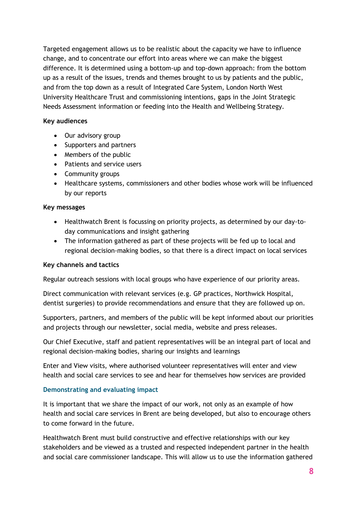Targeted engagement allows us to be realistic about the capacity we have to influence change, and to concentrate our effort into areas where we can make the biggest difference. It is determined using a bottom-up and top-down approach: from the bottom up as a result of the issues, trends and themes brought to us by patients and the public, and from the top down as a result of Integrated Care System, London North West University Healthcare Trust and commissioning intentions, gaps in the Joint Strategic Needs Assessment information or feeding into the Health and Wellbeing Strategy.

### **Key audiences**

- Our advisory group
- Supporters and partners
- Members of the public
- Patients and service users
- Community groups
- Healthcare systems, commissioners and other bodies whose work will be influenced by our reports

### **Key messages**

- Healthwatch Brent is focussing on priority projects, as determined by our day-today communications and insight gathering
- The information gathered as part of these projects will be fed up to local and regional decision-making bodies, so that there is a direct impact on local services

### **Key channels and tactics**

Regular outreach sessions with local groups who have experience of our priority areas.

Direct communication with relevant services (e.g. GP practices, Northwick Hospital, dentist surgeries) to provide recommendations and ensure that they are followed up on.

Supporters, partners, and members of the public will be kept informed about our priorities and projects through our newsletter, social media, website and press releases.

Our Chief Executive, staff and patient representatives will be an integral part of local and regional decision-making bodies, sharing our insights and learnings

Enter and View visits, where authorised volunteer representatives will enter and view health and social care services to see and hear for themselves how services are provided

### **Demonstrating and evaluating impact**

It is important that we share the impact of our work, not only as an example of how health and social care services in Brent are being developed, but also to encourage others to come forward in the future.

Healthwatch Brent must build constructive and effective relationships with our key stakeholders and be viewed as a trusted and respected independent partner in the health and social care commissioner landscape. This will allow us to use the information gathered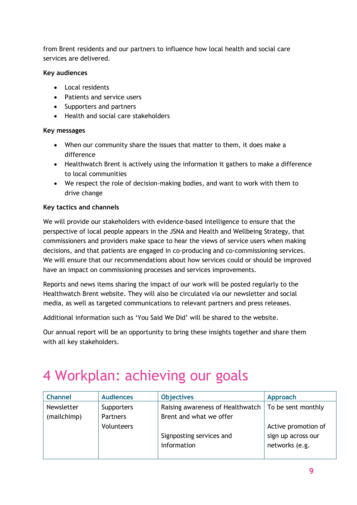from Brent residents and our partners to influence how local health and social care services are delivered.

### **Key audiences**

- Local residents
- Patients and service users
- Supporters and partners
- Health and social care stakeholders

### **Key messages**

- When our community share the issues that matter to them, it does make a difference
- Healthwatch Brent is actively using the information it gathers to make a difference to local communities
- We respect the role of decision-making bodies, and want to work with them to drive change

### **Key tactics and channels**

We will provide our stakeholders with evidence-based intelligence to ensure that the perspective of local people appears in the JSNA and Health and Wellbeing Strategy, that commissioners and providers make space to hear the views of service users when making decisions, and that patients are engaged in co-producing and co-commissioning services. We will ensure that our recommendations about how services could or should be improved have an impact on commissioning processes and services improvements.

Reports and news items sharing the impact of our work will be posted regularly to the Healthwatch Brent website. They will also be circulated via our newsletter and social media, as well as targeted communications to relevant partners and press releases.

Additional information such as 'You Said We Did' will be shared to the website.

Our annual report will be an opportunity to bring these insights together and share them with all key stakeholders.

### 4 Workplan: achieving our goals

| <b>Channel</b> | <b>Audiences</b> | <b>Objectives</b>                                     | Approach            |
|----------------|------------------|-------------------------------------------------------|---------------------|
| Newsletter     | Supporters       | Raising awareness of Healthwatch   To be sent monthly |                     |
| (mailchimp)    | Partners         | Brent and what we offer                               |                     |
|                | Volunteers       |                                                       | Active promotion of |
|                |                  | Signposting services and                              | sign up across our  |
|                |                  | information                                           | networks (e.g.      |
|                |                  |                                                       |                     |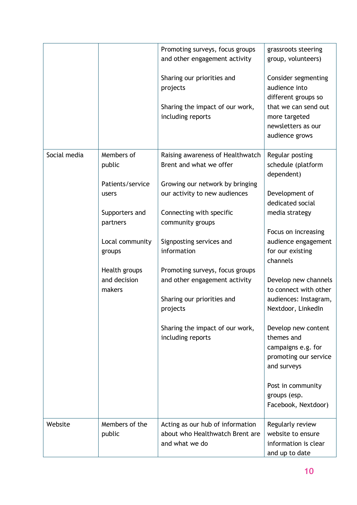|              |                                         | Promoting surveys, focus groups<br>and other engagement activity                      | grassroots steering<br>group, volunteers)                                                       |
|--------------|-----------------------------------------|---------------------------------------------------------------------------------------|-------------------------------------------------------------------------------------------------|
|              |                                         | Sharing our priorities and<br>projects                                                | Consider segmenting<br>audience into<br>different groups so                                     |
|              |                                         | Sharing the impact of our work,<br>including reports                                  | that we can send out<br>more targeted<br>newsletters as our<br>audience grows                   |
| Social media | Members of<br>public                    | Raising awareness of Healthwatch<br>Brent and what we offer                           | Regular posting<br>schedule (platform<br>dependent)                                             |
|              | Patients/service<br>users               | Growing our network by bringing<br>our activity to new audiences                      | Development of<br>dedicated social                                                              |
|              | Supporters and<br>partners              | Connecting with specific<br>community groups                                          | media strategy                                                                                  |
|              | Local community                         | Signposting services and                                                              | Focus on increasing<br>audience engagement                                                      |
|              | groups                                  | information                                                                           | for our existing<br>channels                                                                    |
|              | Health groups<br>and decision<br>makers | Promoting surveys, focus groups<br>and other engagement activity                      | Develop new channels<br>to connect with other                                                   |
|              |                                         | Sharing our priorities and<br>projects                                                | audiences: Instagram,<br>Nextdoor, LinkedIn                                                     |
|              |                                         | Sharing the impact of our work,<br>including reports                                  | Develop new content<br>themes and<br>campaigns e.g. for<br>promoting our service<br>and surveys |
|              |                                         |                                                                                       | Post in community<br>groups (esp.<br>Facebook, Nextdoor)                                        |
| Website      | Members of the<br>public                | Acting as our hub of information<br>about who Healthwatch Brent are<br>and what we do | Regularly review<br>website to ensure<br>information is clear<br>and up to date                 |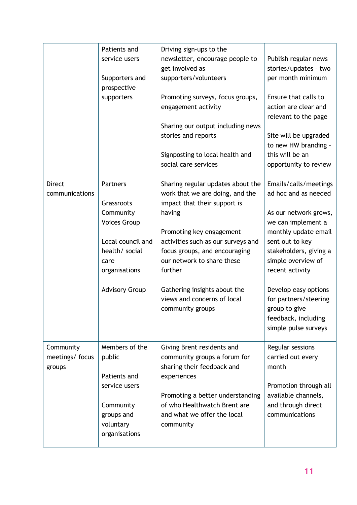|                                       | Patients and<br>service users<br>Supporters and<br>prospective<br>supporters                                                                        | Driving sign-ups to the<br>newsletter, encourage people to<br>get involved as<br>supporters/volunteers<br>Promoting surveys, focus groups,<br>engagement activity<br>Sharing our output including news<br>stories and reports<br>Signposting to local health and<br>social care services                                                      | Publish regular news<br>stories/updates - two<br>per month minimum<br>Ensure that calls to<br>action are clear and<br>relevant to the page<br>Site will be upgraded<br>to new HW branding -<br>this will be an<br>opportunity to review                                                                                     |
|---------------------------------------|-----------------------------------------------------------------------------------------------------------------------------------------------------|-----------------------------------------------------------------------------------------------------------------------------------------------------------------------------------------------------------------------------------------------------------------------------------------------------------------------------------------------|-----------------------------------------------------------------------------------------------------------------------------------------------------------------------------------------------------------------------------------------------------------------------------------------------------------------------------|
| <b>Direct</b><br>communications       | Partners<br>Grassroots<br>Community<br><b>Voices Group</b><br>Local council and<br>health/ social<br>care<br>organisations<br><b>Advisory Group</b> | Sharing regular updates about the<br>work that we are doing, and the<br>impact that their support is<br>having<br>Promoting key engagement<br>activities such as our surveys and<br>focus groups, and encouraging<br>our network to share these<br>further<br>Gathering insights about the<br>views and concerns of local<br>community groups | Emails/calls/meetings<br>ad hoc and as needed<br>As our network grows,<br>we can implement a<br>monthly update email<br>sent out to key<br>stakeholders, giving a<br>simple overview of<br>recent activity<br>Develop easy options<br>for partners/steering<br>group to give<br>feedback, including<br>simple pulse surveys |
| Community<br>meetings/focus<br>groups | Members of the<br>public<br>Patients and<br>service users<br>Community<br>groups and<br>voluntary<br>organisations                                  | Giving Brent residents and<br>community groups a forum for<br>sharing their feedback and<br>experiences<br>Promoting a better understanding<br>of who Healthwatch Brent are<br>and what we offer the local<br>community                                                                                                                       | Regular sessions<br>carried out every<br>month<br>Promotion through all<br>available channels,<br>and through direct<br>communications                                                                                                                                                                                      |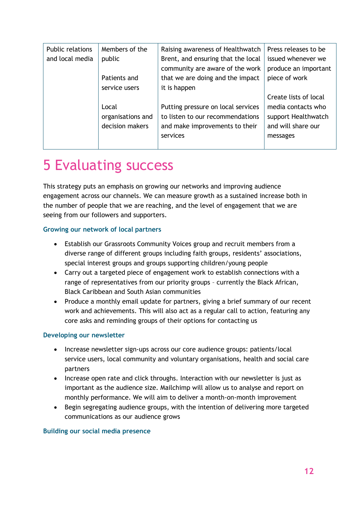| <b>Public relations</b> | Members of the    | Raising awareness of Healthwatch   | Press releases to be  |
|-------------------------|-------------------|------------------------------------|-----------------------|
| and local media         | public            | Brent, and ensuring that the local | issued whenever we    |
|                         |                   | community are aware of the work    | produce an important  |
|                         |                   |                                    |                       |
|                         | Patients and      | that we are doing and the impact   | piece of work         |
|                         | service users     | it is happen                       |                       |
|                         |                   |                                    | Create lists of local |
|                         | Local             | Putting pressure on local services | media contacts who    |
|                         | organisations and | to listen to our recommendations   | support Healthwatch   |
|                         | decision makers   | and make improvements to their     | and will share our    |
|                         |                   | services                           | messages              |
|                         |                   |                                    |                       |

### 5 Evaluating success

This strategy puts an emphasis on growing our networks and improving audience engagement across our channels. We can measure growth as a sustained increase both in the number of people that we are reaching, and the level of engagement that we are seeing from our followers and supporters.

### **Growing our network of local partners**

- Establish our Grassroots Community Voices group and recruit members from a diverse range of different groups including faith groups, residents' associations, special interest groups and groups supporting children/young people
- Carry out a targeted piece of engagement work to establish connections with a range of representatives from our priority groups – currently the Black African, Black Caribbean and South Asian communities
- Produce a monthly email update for partners, giving a brief summary of our recent work and achievements. This will also act as a regular call to action, featuring any core asks and reminding groups of their options for contacting us

### **Developing our newsletter**

- Increase newsletter sign-ups across our core audience groups: patients/local service users, local community and voluntary organisations, health and social care partners
- Increase open rate and click throughs. Interaction with our newsletter is just as important as the audience size. Mailchimp will allow us to analyse and report on monthly performance. We will aim to deliver a month-on-month improvement
- Begin segregating audience groups, with the intention of delivering more targeted communications as our audience grows

### **Building our social media presence**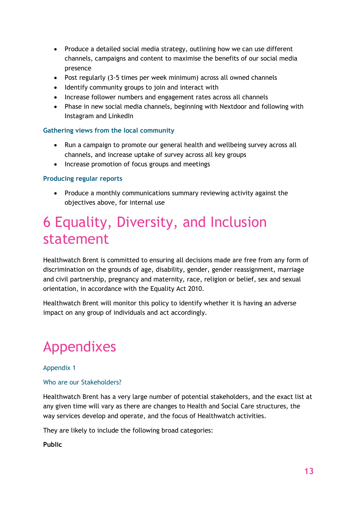- Produce a detailed social media strategy, outlining how we can use different channels, campaigns and content to maximise the benefits of our social media presence
- Post regularly (3-5 times per week minimum) across all owned channels
- Identify community groups to join and interact with
- Increase follower numbers and engagement rates across all channels
- Phase in new social media channels, beginning with Nextdoor and following with Instagram and LinkedIn

### **Gathering views from the local community**

- Run a campaign to promote our general health and wellbeing survey across all channels, and increase uptake of survey across all key groups
- Increase promotion of focus groups and meetings

### **Producing regular reports**

• Produce a monthly communications summary reviewing activity against the objectives above, for internal use

### 6 Equality, Diversity, and Inclusion statement

Healthwatch Brent is committed to ensuring all decisions made are free from any form of discrimination on the grounds of age, disability, gender, gender reassignment, marriage and civil partnership, pregnancy and maternity, race, religion or belief, sex and sexual orientation, in accordance with the Equality Act 2010.

Healthwatch Brent will monitor this policy to identify whether it is having an adverse impact on any group of individuals and act accordingly.

## Appendixes

### Appendix 1

#### Who are our Stakeholders?

Healthwatch Brent has a very large number of potential stakeholders, and the exact list at any given time will vary as there are changes to Health and Social Care structures, the way services develop and operate, and the focus of Healthwatch activities.

They are likely to include the following broad categories:

#### **Public**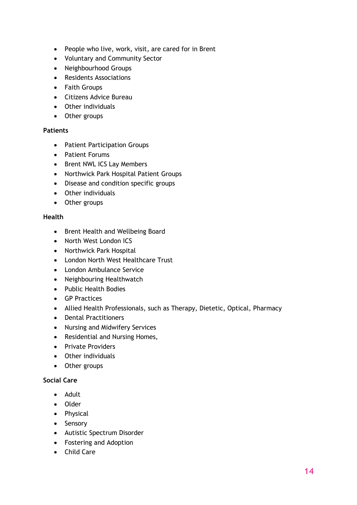- People who live, work, visit, are cared for in Brent
- Voluntary and Community Sector
- Neighbourhood Groups
- Residents Associations
- Faith Groups
- Citizens Advice Bureau
- Other individuals
- Other groups

### **Patients**

- Patient Participation Groups
- Patient Forums
- Brent NWL ICS Lay Members
- Northwick Park Hospital Patient Groups
- Disease and condition specific groups
- Other individuals
- Other groups

### **Health**

- Brent Health and Wellbeing Board
- North West London ICS
- Northwick Park Hospital
- London North West Healthcare Trust
- London Ambulance Service
- Neighbouring Healthwatch
- Public Health Bodies
- GP Practices
- Allied Health Professionals, such as Therapy, Dietetic, Optical, Pharmacy
- Dental Practitioners
- Nursing and Midwifery Services
- Residential and Nursing Homes,
- Private Providers
- Other individuals
- Other groups

### **Social Care**

- Adult
- Older
- Physical
- Sensory
- Autistic Spectrum Disorder
- Fostering and Adoption
- Child Care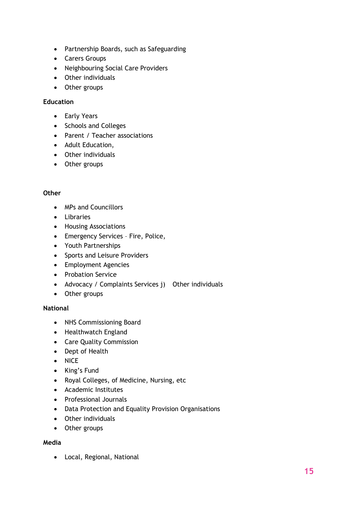- Partnership Boards, such as Safeguarding
- Carers Groups
- Neighbouring Social Care Providers
- Other individuals
- Other groups

### **Education**

- Early Years
- Schools and Colleges
- Parent / Teacher associations
- Adult Education,
- Other individuals
- Other groups

### **Other**

- MPs and Councillors
- Libraries
- Housing Associations
- Emergency Services Fire, Police,
- Youth Partnerships
- Sports and Leisure Providers
- Employment Agencies
- Probation Service
- Advocacy / Complaints Services j) Other individuals
- Other groups

### **National**

- NHS Commissioning Board
- Healthwatch England
- Care Quality Commission
- Dept of Health
- NICE
- King's Fund
- Royal Colleges, of Medicine, Nursing, etc
- Academic Institutes
- Professional Journals
- Data Protection and Equality Provision Organisations
- Other individuals
- Other groups

### **Media**

• Local, Regional, National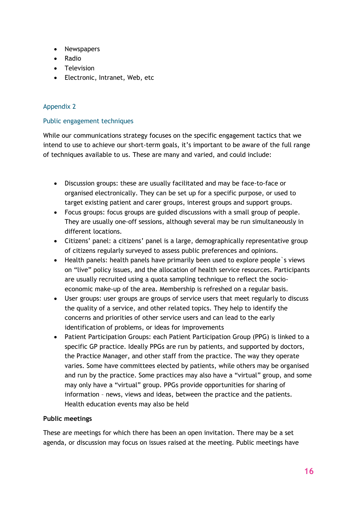- Newspapers
- Radio
- Television
- Electronic, Intranet, Web, etc

### Appendix 2

### Public engagement techniques

While our communications strategy focuses on the specific engagement tactics that we intend to use to achieve our short-term goals, it's important to be aware of the full range of techniques available to us. These are many and varied, and could include:

- Discussion groups: these are usually facilitated and may be face-to-face or organised electronically. They can be set up for a specific purpose, or used to target existing patient and carer groups, interest groups and support groups.
- Focus groups: focus groups are guided discussions with a small group of people. They are usually one-off sessions, although several may be run simultaneously in different locations.
- Citizens' panel: a citizens' panel is a large, demographically representative group of citizens regularly surveyed to assess public preferences and opinions.
- Health panels: health panels have primarily been used to explore people`s views on "live" policy issues, and the allocation of health service resources. Participants are usually recruited using a quota sampling technique to reflect the socioeconomic make-up of the area. Membership is refreshed on a regular basis.
- User groups: user groups are groups of service users that meet regularly to discuss the quality of a service, and other related topics. They help to identify the concerns and priorities of other service users and can lead to the early identification of problems, or ideas for improvements
- Patient Participation Groups: each Patient Participation Group (PPG) is linked to a specific GP practice. Ideally PPGs are run by patients, and supported by doctors, the Practice Manager, and other staff from the practice. The way they operate varies. Some have committees elected by patients, while others may be organised and run by the practice. Some practices may also have a "virtual" group, and some may only have a "virtual" group. PPGs provide opportunities for sharing of information – news, views and ideas, between the practice and the patients. Health education events may also be held

### **Public meetings**

These are meetings for which there has been an open invitation. There may be a set agenda, or discussion may focus on issues raised at the meeting. Public meetings have